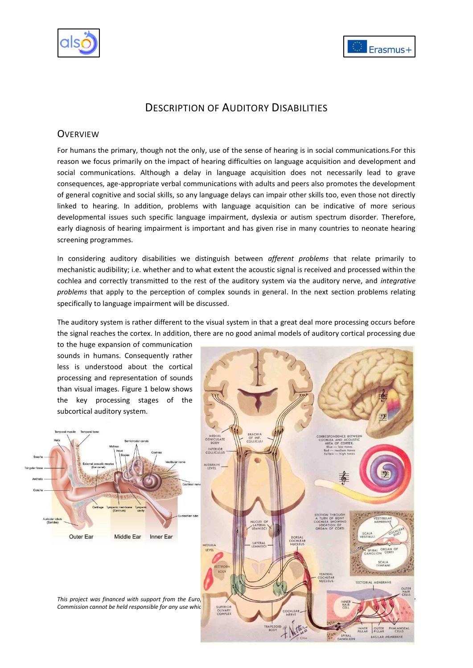



# DESCRIPTION OF AUDITORY DISABILITIES

## **OVERVIEW**

For humans the primary, though not the only, use of the sense of hearing is in social communications.For this reason we focus primarily on the impact of hearing difficulties on language acquisition and development and social communications. Although a delay in language acquisition does not necessarily lead to grave consequences, age-appropriate verbal communications with adults and peers also promotes the development of general cognitive and social skills, so any language delays can impair other skills too, even those not directly linked to hearing. In addition, problems with language acquisition can be indicative of more serious developmental issues such specific language impairment, dyslexia or autism spectrum disorder. Therefore, early diagnosis of hearing impairment is important and has given rise in many countries to neonate hearing screening programmes.

In considering auditory disabilities we distinguish between *afferent problems* that relate primarily to mechanistic audibility; i.e. whether and to what extent the acoustic signal is received and processed within the cochlea and correctly transmitted to the rest of the auditory system via the auditory nerve, and *integrative problems* that apply to the perception of complex sounds in general. In the next section problems relating specifically to language impairment will be discussed.

The auditory system is rather different to the visual system in that a great deal more processing occurs before the signal reaches the cortex. In addition, there are no good animal models of auditory cortical processing due

to the huge expansion of communication sounds in humans. Consequently rather less is understood about the cortical processing and representation of sounds than visual images. Figure 1 below shows the key processing stages of the subcortical auditory system.





**Commission cannot be held responsible for any use which all** *superion* **of the information contained the information contained to the information contained to the information contained to the information contained to the i**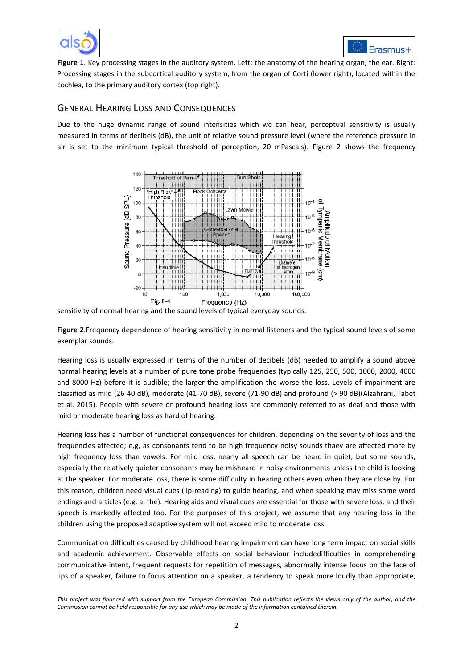



**Figure 1**. Key processing stages in the auditory system. Left: the anatomy of the hearing organ, the ear. Right: Processing stages in the subcortical auditory system, from the organ of Corti (lower right), located within the cochlea, to the primary auditory cortex (top right).

## GENERAL HEARING LOSS AND CONSEQUENCES

Due to the huge dynamic range of sound intensities which we can hear, perceptual sensitivity is usually measured in terms of decibels (dB), the unit of relative sound pressure level (where the reference pressure in air is set to the minimum typical threshold of perception, 20 mPascals). Figure 2 shows the frequency



sensitivity of normal hearing and the sound levels of typical everyday sounds.

**Figure 2**.Frequency dependence of hearing sensitivity in normal listeners and the typical sound levels of some exemplar sounds.

Hearing loss is usually expressed in terms of the number of decibels (dB) needed to amplify a sound above normal hearing levels at a number of pure tone probe frequencies (typically 125, 250, 500, 1000, 2000, 4000 and 8000 Hz) before it is audible; the larger the amplification the worse the loss. Levels of impairment are classified as mild (26-40 dB), moderate (41-70 dB), severe (71-90 dB) and profound (> 90 dB)[\(Alzahrani, Tabet](#page-10-0)  [et al. 2015\)](#page-10-0). People with severe or profound hearing loss are commonly referred to as deaf and those with mild or moderate hearing loss as hard of hearing.

Hearing loss has a number of functional consequences for children, depending on the severity of loss and the frequencies affected; e,g, as consonants tend to be high frequency noisy sounds thaey are affected more by high frequency loss than vowels. For mild loss, nearly all speech can be heard in quiet, but some sounds, especially the relatively quieter consonants may be misheard in noisy environments unless the child is looking at the speaker. For moderate loss, there is some difficulty in hearing others even when they are close by. For this reason, children need visual cues (lip-reading) to guide hearing, and when speaking may miss some word endings and articles (e.g. a, the). Hearing aids and visual cues are essential for those with severe loss, and their speech is markedly affected too. For the purposes of this project, we assume that any hearing loss in the children using the proposed adaptive system will not exceed mild to moderate loss.

Communication difficulties caused by childhood hearing impairment can have long term impact on social skills and academic achievement. Observable effects on social behaviour includedifficulties in comprehending communicative intent, frequent requests for repetition of messages, abnormally intense focus on the face of lips of a speaker, failure to focus attention on a speaker, a tendency to speak more loudly than appropriate,

*This project was financed with support from the European Commission. This publication reflects the views only of the author, and the Commission cannot be held responsible for any use which may be made of the information contained therein.*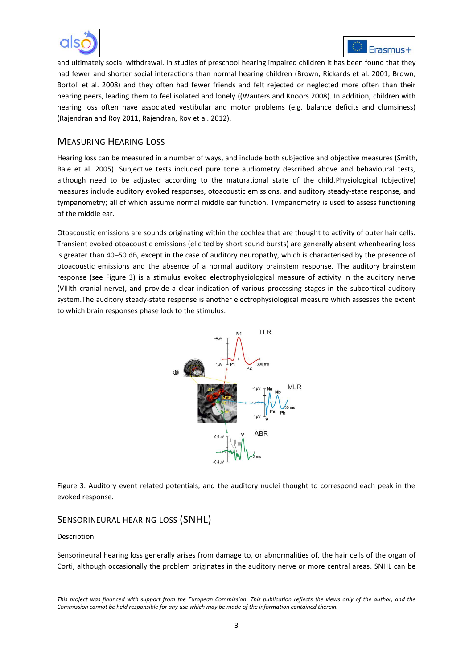



and ultimately social withdrawal. In studies of preschool hearing impaired children it has been found that they had fewer and shorter social interactions than normal hearing children [\(Brown, Rickards et al. 2001,](#page-10-1) [Brown,](#page-10-2)  [Bortoli et al. 2008\)](#page-10-2) and they often had fewer friends and felt rejected or neglected more often than their hearing peers, leading them to feel isolated and lonely ([\(Wauters and Knoors 2008\)](#page-11-0). In addition, children with hearing loss often have associated vestibular and motor problems (e.g. balance deficits and clumsiness) [\(Rajendran and Roy 2011,](#page-10-3) [Rajendran, Roy et al. 2012\)](#page-11-1).

## MEASURING HEARING LOSS

Hearing loss can be measured in a number of ways, and include both subjective and objective measures [\(Smith,](#page-11-2)  [Bale et al.](#page-11-2) 2005). Subjective tests included pure tone audiometry described above and behavioural tests, although need to be adjusted according to the maturational state of the child.Physiological (objective) measures include auditory evoked responses, otoacoustic emissions, and auditory steady-state response, and tympanometry; all of which assume normal middle ear function. Tympanometry is used to assess functioning of the middle ear.

Otoacoustic emissions are sounds originating within the cochlea that are thought to activity of outer hair cells. Transient evoked otoacoustic emissions (elicited by short sound bursts) are generally absent whenhearing loss is greater than 40–50 dB, except in the case of auditory neuropathy, which is characterised by the presence of otoacoustic emissions and the absence of a normal auditory brainstem response. The auditory brainstem response (see Figure 3) is a stimulus evoked electrophysiological measure of activity in the auditory nerve (VIIIth cranial nerve), and provide a clear indication of various processing stages in the subcortical auditory system.The auditory steady-state response is another electrophysiological measure which assesses the extent to which brain responses phase lock to the stimulus.



Figure 3. Auditory event related potentials, and the auditory nuclei thought to correspond each peak in the evoked response.

### SENSORINEURAL HEARING LOSS (SNHL)

#### Description

Sensorineural hearing loss generally arises from damage to, or abnormalities of, the hair cells of the organ of Corti, although occasionally the problem originates in the auditory nerve or more central areas. SNHL can be

*This project was financed with support from the European Commission. This publication reflects the views only of the author, and the Commission cannot be held responsible for any use which may be made of the information contained therein.*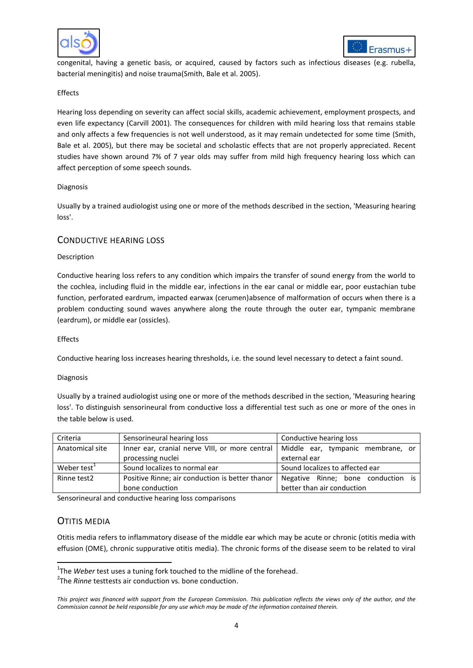



congenital, having a genetic basis, or acquired, caused by factors such as infectious diseases (e.g. rubella, bacterial meningitis) and noise trauma[\(Smith, Bale et al. 2005\)](#page-11-2).

#### Effects

Hearing loss depending on severity can affect social skills, academic achievement, employment prospects, and even life expectancy [\(Carvill 2001\)](#page-10-4). The consequences for children with mild hearing loss that remains stable and only affects a few frequencies is not well understood, as it may remain undetected for some time [\(Smith,](#page-11-2)  [Bale et al. 2005\)](#page-11-2), but there may be societal and scholastic effects that are not properly appreciated. Recent studies have shown around 7% of 7 year olds may suffer from mild high frequency hearing loss which can affect perception of some speech sounds.

#### Diagnosis

Usually by a trained audiologist using one or more of the methods described in the section, 'Measuring hearing loss'.

#### CONDUCTIVE HEARING LOSS

#### Description

Conductive hearing loss refers to any condition which impairs the transfer of sound energy from the world to the cochlea, including fluid in the middle ear, infections in the ear canal or middle ear, poor eustachian tube function, perforated eardrum, impacted earwax (cerumen)absence of malformation of occurs when there is a problem conducting sound waves anywhere along the route through the outer ear, tympanic membrane (eardrum), or middle ear (ossicles).

#### Effects

Conductive hearing loss increases hearing thresholds, i.e. the sound level necessary to detect a faint sound.

#### Diagnosis

Usually by a trained audiologist using one or more of the methods described in the section, 'Measuring hearing loss'. To distinguish sensorineural from conductive loss a differential test such as one or more of the ones in the table below is used.

| Criteria                | Sensorineural hearing loss                      | Conductive hearing loss            |
|-------------------------|-------------------------------------------------|------------------------------------|
| Anatomical site         | Inner ear, cranial nerve VIII, or more central  | Middle ear, tympanic membrane, or  |
|                         | processing nuclei                               | external ear                       |
| Weber test <sup>1</sup> | Sound localizes to normal ear                   | Sound localizes to affected ear    |
| Rinne test2             | Positive Rinne; air conduction is better thanor | Negative Rinne; bone conduction is |
|                         | bone conduction                                 | better than air conduction         |

Sensorineural and conductive hearing loss comparisons

## OTITIS MEDIA

1

Otitis media refers to inflammatory disease of the middle ear which may be acute or chronic (otitis media with effusion (OME), chronic suppurative otitis media). The chronic forms of the disease seem to be related to viral

<sup>&</sup>lt;sup>1</sup>The *Weber* test uses a tuning fork touched to the midline of the forehead.

<sup>&</sup>lt;sup>2</sup>The *Rinne* testtests air conduction vs. bone conduction.

*This project was financed with support from the European Commission. This publication reflects the views only of the author, and the Commission cannot be held responsible for any use which may be made of the information contained therein.*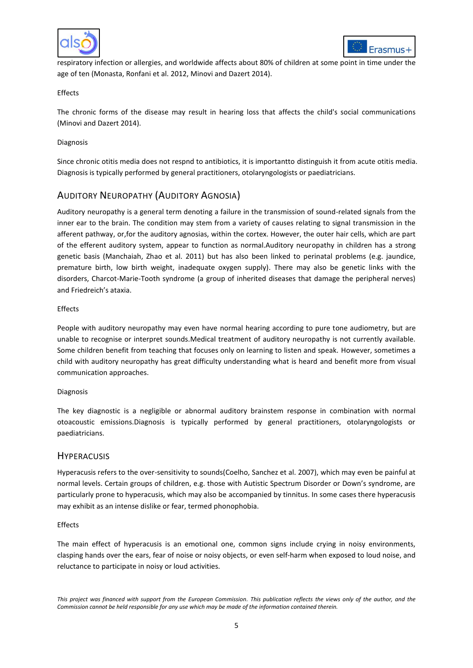



respiratory infection or allergies, and worldwide affects about 80% of children at some point in time under the age of ten [\(Monasta, Ronfani et al. 2012,](#page-10-5) [Minovi and Dazert 2014\)](#page-10-6).

#### Effects

The chronic forms of the disease may result in hearing loss that affects the child's social communications [\(Minovi and Dazert 2014\)](#page-10-6).

#### Diagnosis

Since chronic otitis media does not respnd to antibiotics, it is importantto distinguish it from acute otitis media. Diagnosis is typically performed by general practitioners, otolaryngologists or paediatricians.

## AUDITORY NEUROPATHY (AUDITORY AGNOSIA)

Auditory neuropathy is a general term denoting a failure in the transmission of sound-related signals from the inner ear to the brain. The condition may stem from a variety of causes relating to signal transmission in the afferent pathway, or,for the auditory agnosias, within the cortex. However, the outer hair cells, which are part of the efferent auditory system, appear to function as normal.Auditory neuropathy in children has a strong genetic basis [\(Manchaiah, Zhao et al. 2011\)](#page-10-7) but has also been linked to perinatal problems (e.g. jaundice, premature birth, low birth weight, inadequate oxygen supply). There may also be genetic links with the disorders, Charcot-Marie-Tooth syndrome (a group of inherited diseases that damage the peripheral nerves) and Friedreich's ataxia.

#### Effects

People with auditory neuropathy may even have normal hearing according to pure tone audiometry, but are unable to recognise or interpret sounds.Medical treatment of auditory neuropathy is not currently available. Some children benefit from teaching that focuses only on learning to listen and speak. However, sometimes a child with auditory neuropathy has great difficulty understanding what is heard and benefit more from visual communication approaches.

#### Diagnosis

The key diagnostic is a negligible or abnormal auditory brainstem response in combination with normal otoacoustic emissions.Diagnosis is typically performed by general practitioners, otolaryngologists or paediatricians.

### **HYPERACUSIS**

Hyperacusis refers to the over-sensitivity to sounds[\(Coelho, Sanchez et al. 2007\)](#page-10-8), which may even be painful at normal levels. Certain groups of children, e.g. those with Autistic Spectrum Disorder or Down's syndrome, are particularly prone to hyperacusis, which may also be accompanied by tinnitus. In some cases there hyperacusis may exhibit as an intense dislike or fear, termed phonophobia.

#### Effects

The main effect of hyperacusis is an emotional one, common signs include crying in noisy environments, clasping hands over the ears, fear of noise or noisy objects, or even self-harm when exposed to loud noise, and reluctance to participate in noisy or loud activities.

*This project was financed with support from the European Commission. This publication reflects the views only of the author, and the Commission cannot be held responsible for any use which may be made of the information contained therein.*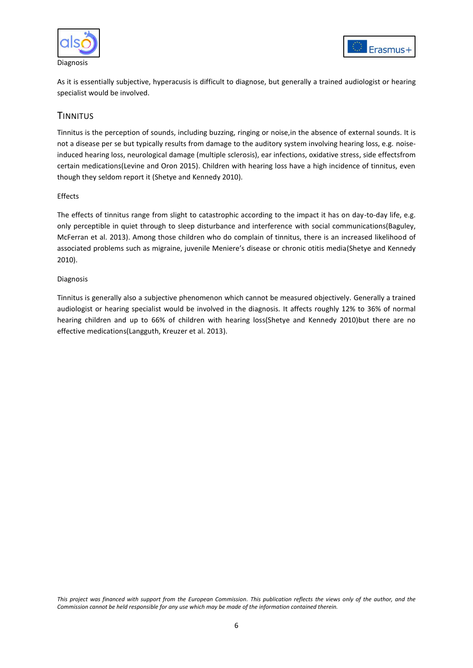



As it is essentially subjective, hyperacusis is difficult to diagnose, but generally a trained audiologist or hearing specialist would be involved.

## **TINNITUS**

Tinnitus is the perception of sounds, including buzzing, ringing or noise,in the absence of external sounds. It is not a disease per se but typically results from damage to the auditory system involving hearing loss, e.g. noiseinduced hearing loss, neurological damage (multiple sclerosis), ear infections, oxidative stress, side effectsfrom certain medications[\(Levine and Oron 2015\)](#page-10-9). Children with hearing loss have a high incidence of tinnitus, even though they seldom report it [\(Shetye and Kennedy 2010\)](#page-11-3).

### Effects

The effects of tinnitus range from slight to catastrophic according to the impact it has on day-to-day life, e.g. only perceptible in quiet through to sleep disturbance and interference with social communications[\(Baguley,](#page-10-10)  [McFerran et al. 2013\)](#page-10-10). Among those children who do complain of tinnitus, there is an increased likelihood of associated problems such as migraine, juvenile Meniere's disease or chronic otitis media[\(Shetye and Kennedy](#page-11-3)  [2010\)](#page-11-3).

### Diagnosis

Tinnitus is generally also a subjective phenomenon which cannot be measured objectively. Generally a trained audiologist or hearing specialist would be involved in the diagnosis. It affects roughly 12% to 36% of normal hearing children and up to 66% of children with hearing loss[\(Shetye and Kennedy 2010\)](#page-11-3)but there are no effective medications[\(Langguth, Kreuzer et al. 2013\)](#page-10-11).

*This project was financed with support from the European Commission. This publication reflects the views only of the author, and the Commission cannot be held responsible for any use which may be made of the information contained therein.*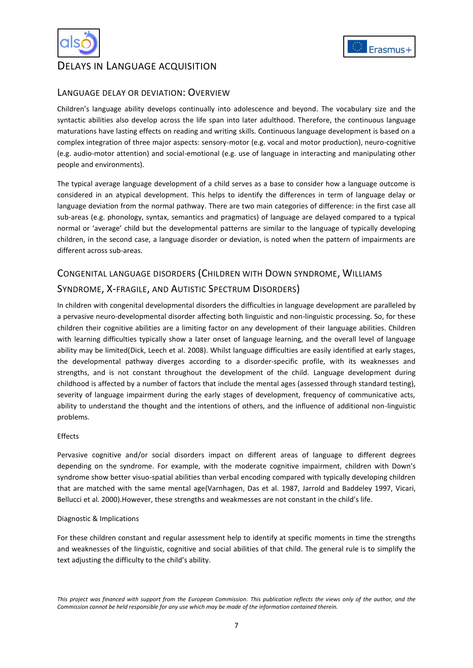

## DELAYS IN LANGUAGE ACQUISITION

## LANGUAGE DELAY OR DEVIATION: OVERVIEW

Children's language ability develops continually into adolescence and beyond. The vocabulary size and the syntactic abilities also develop across the life span into later adulthood. Therefore, the continuous language maturations have lasting effects on reading and writing skills. Continuous language development is based on a complex integration of three major aspects: sensory-motor (e.g. vocal and motor production), neuro-cognitive (e.g. audio-motor attention) and social-emotional (e.g. use of language in interacting and manipulating other people and environments).

The typical average language development of a child serves as a base to consider how a language outcome is considered in an atypical development. This helps to identify the differences in term of language delay or language deviation from the normal pathway. There are two main categories of difference: in the first case all sub-areas (e.g. phonology, syntax, semantics and pragmatics) of language are delayed compared to a typical normal or 'average' child but the developmental patterns are similar to the language of typically developing children, in the second case, a language disorder or deviation, is noted when the pattern of impairments are different across sub-areas.

## CONGENITAL LANGUAGE DISORDERS (CHILDREN WITH DOWN SYNDROME, WILLIAMS

## SYNDROME, X-FRAGILE, AND AUTISTIC SPECTRUM DISORDERS)

In children with congenital developmental disorders the difficulties in language development are paralleled by a pervasive neuro-developmental disorder affecting both linguistic and non-linguistic processing. So, for these children their cognitive abilities are a limiting factor on any development of their language abilities. Children with learning difficulties typically show a later onset of language learning, and the overall level of language ability may be limited[\(Dick, Leech et al. 2008\)](#page-10-12). Whilst language difficulties are easily identified at early stages, the developmental pathway diverges according to a disorder-specific profile, with its weaknesses and strengths, and is not constant throughout the development of the child. Language development during childhood is affected by a number of factors that include the mental ages (assessed through standard testing), severity of language impairment during the early stages of development, frequency of communicative acts, ability to understand the thought and the intentions of others, and the influence of additional non-linguistic problems.

### Effects

Pervasive cognitive and/or social disorders impact on different areas of language to different degrees depending on the syndrome. For example, with the moderate cognitive impairment, children with Down's syndrome show better visuo-spatial abilities than verbal encoding compared with typically developing children that are matched with the same mental age[\(Varnhagen, Das et al. 1987,](#page-11-4) [Jarrold and Baddeley 1997,](#page-10-13) [Vicari,](#page-11-5)  [Bellucci et al. 2000\)](#page-11-5).However, these strengths and weakmesses are not constant in the child's life.

#### Diagnostic & Implications

For these children constant and regular assessment help to identify at specific moments in time the strengths and weaknesses of the linguistic, cognitive and social abilities of that child. The general rule is to simplify the text adjusting the difficulty to the child's ability.



*This project was financed with support from the European Commission. This publication reflects the views only of the author, and the Commission cannot be held responsible for any use which may be made of the information contained therein.*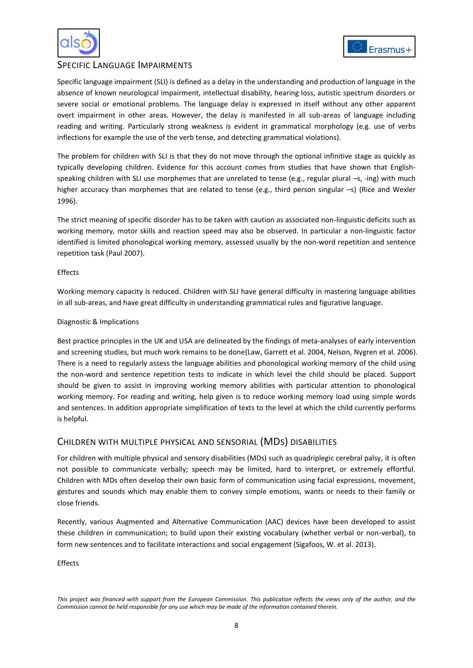



## SPECIFIC LANGUAGE IMPAIRMENTS

Specific language impairment (SLI) is defined as a delay in the understanding and production of language in the absence of known neurological impairment, intellectual disability, hearing loss, autistic spectrum disorders or severe social or emotional problems. The language delay is expressed in itself without any other apparent overt impairment in other areas. However, the delay is manifested in all sub-areas of language including reading and writing. Particularly strong weakness is evident in grammatical morphology (e.g. use of verbs inflections for example the use of the verb tense, and detecting grammatical violations).

The problem for children with SLI is that they do not move through the optional infinitive stage as quickly as typically developing children. Evidence for this account comes from studies that have shown that Englishspeaking children with SLI use morphemes that are unrelated to tense (e.g., regular plural –s, -ing) with much higher accuracy than morphemes that are related to tense (e.g., third person singular –s) (Rice and Wexler [1996\)](#page-11-6).

The strict meaning of specific disorder has to be taken with caution as associated non-linguistic deficits such as working memory, motor skills and reaction speed may also be observed. In particular a non-linguistic factor identified is limited phonological working memory, assessed usually by the non-word repetition and sentence repetition task [\(Paul 2007\)](#page-10-14).

#### Effects

Working memory capacity is reduced. Children with SLI have general difficulty in mastering language abilities in all sub-areas, and have great difficulty in understanding grammatical rules and figurative language.

#### Diagnostic & Implications

Best practice principles in the UK and USA are delineated by the findings of meta-analyses of early intervention and screening studies, but much work remains to be done[\(Law, Garrett et al. 2004,](#page-10-15) [Nelson, Nygren et al. 2006\)](#page-10-16). There is a need to regularly assess the language abilities and phonological working memory of the child using the non-word and sentence repetition tests to indicate in which level the child should be placed. Support should be given to assist in improving working memory abilities with particular attention to phonological working memory. For reading and writing, help given is to reduce working memory load using simple words and sentences. In addition appropriate simplification of texts to the level at which the child currently performs is helpful.

## CHILDREN WITH MULTIPLE PHYSICAL AND SENSORIAL (MDS) DISABILITIES

For children with multiple physical and sensory disabilities (MDs) such as quadriplegic cerebral palsy, it is often not possible to communicate verbally; speech may be limited, hard to interpret, or extremely effortful. Children with MDs often develop their own basic form of communication using facial expressions, movement, gestures and sounds which may enable them to convey simple emotions, wants or needs to their family or close friends.

Recently, various Augmented and Alternative Communication (AAC) devices have been developed to assist these children in communication; to build upon their existing vocabulary (whether verbal or non-verbal), to form new sentences and to facilitate interactions and social engagement [\(Sigafoos, W. et al. 2013\)](#page-11-7).

Effects

*This project was financed with support from the European Commission. This publication reflects the views only of the author, and the Commission cannot be held responsible for any use which may be made of the information contained therein.*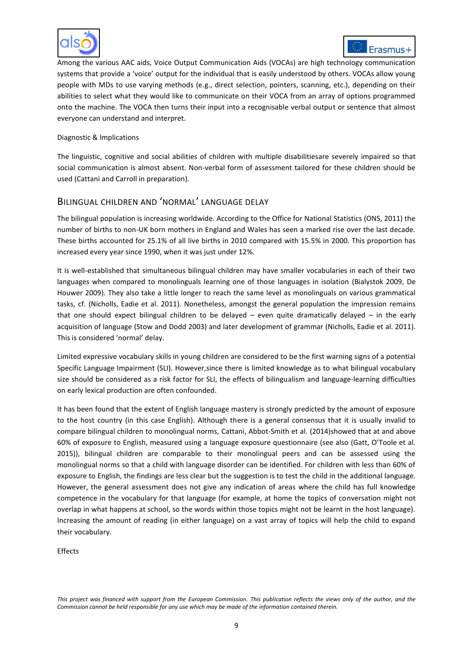



Among the various AAC aids, Voice Output Communication Aids (VOCAs) are high technology communication systems that provide a 'voice' output for the individual that is easily understood by others. VOCAs allow young people with MDs to use varying methods (e.g., direct selection, pointers, scanning, etc.), depending on their abilities to select what they would like to communicate on their VOCA from an array of options programmed onto the machine. The VOCA then turns their input into a recognisable verbal output or sentence that almost everyone can understand and interpret.

#### Diagnostic & Implications

The linguistic, cognitive and social abilities of children with multiple disabilitiesare severely impaired so that social communication is almost absent. Non-verbal form of assessment tailored for these children should be used [\(Cattani and Carroll in preparation\)](#page-10-17).

## BILINGUAL CHILDREN AND 'NORMAL' LANGUAGE DELAY

The bilingual population is increasing worldwide. According to the Office for National Statistics (ONS, 2011) the number of births to non-UK born mothers in England and Wales has seen a marked rise over the last decade. These births accounted for 25.1% of all live births in 2010 compared with 15.5% in 2000. This proportion has increased every year since 1990, when it was just under 12%.

It is well-established that simultaneous bilingual children may have smaller vocabularies in each of their two languages when compared to monolinguals learning one of those languages in isolation [\(Bialystok 2009,](#page-10-18) [De](#page-10-19)  [Houwer 2009\)](#page-10-19). They also take a little longer to reach the same level as monolinguals on various grammatical tasks, cf. [\(Nicholls, Eadie et al. 2011\)](#page-10-20). Nonetheless, amongst the general population the impression remains that one should expect bilingual children to be delayed – even quite dramatically delayed – in the early acquisition of language [\(Stow and Dodd 2003\)](#page-11-8) and later development of grammar [\(Nicholls, Eadie et al. 2011\)](#page-10-20). This is considered 'normal' delay.

Limited expressive vocabulary skills in young children are considered to be the first warning signs of a potential Specific Language Impairment (SLI). However,since there is limited knowledge as to what bilingual vocabulary size should be considered as a risk factor for SLI, the effects of bilingualism and language-learning difficulties on early lexical production are often confounded.

It has been found that the extent of English language mastery is strongly predicted by the amount of exposure to the host country (in this case English). Although there is a general consensus that it is usually invalid to compare bilingual children to monolingual norms, [Cattani, Abbot-Smith et al. \(2014\)](#page-10-21)showed that at and above 60% of exposure to English, measured using a language exposure questionnaire (see also ([Gatt, O'Toole et al.](#page-10-22)  [2015\)](#page-10-22)), bilingual children are comparable to their monolingual peers and can be assessed using the monolingual norms so that a child with language disorder can be identified. For children with less than 60% of exposure to English, the findings are less clear but the suggestion is to test the child in the additional language. However, the general assessment does not give any indication of areas where the child has full knowledge competence in the vocabulary for that language (for example, at home the topics of conversation might not overlap in what happens at school, so the words within those topics might not be learnt in the host language). Increasing the amount of reading (in either language) on a vast array of topics will help the child to expand their vocabulary.

Effects

*This project was financed with support from the European Commission. This publication reflects the views only of the author, and the Commission cannot be held responsible for any use which may be made of the information contained therein.*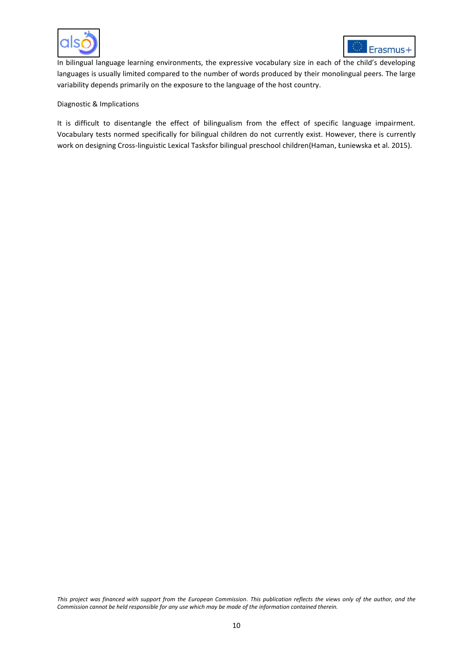



In bilingual language learning environments, the expressive vocabulary size in each of the child's developing languages is usually limited compared to the number of words produced by their monolingual peers. The large variability depends primarily on the exposure to the language of the host country.

#### Diagnostic & Implications

It is difficult to disentangle the effect of bilingualism from the effect of specific language impairment. Vocabulary tests normed specifically for bilingual children do not currently exist. However, there is currently work on designing Cross-linguistic Lexical Tasksfor bilingual preschool children([Haman, Łuniewska et al. 2015](#page-10-23)).

*This project was financed with support from the European Commission. This publication reflects the views only of the author, and the Commission cannot be held responsible for any use which may be made of the information contained therein.*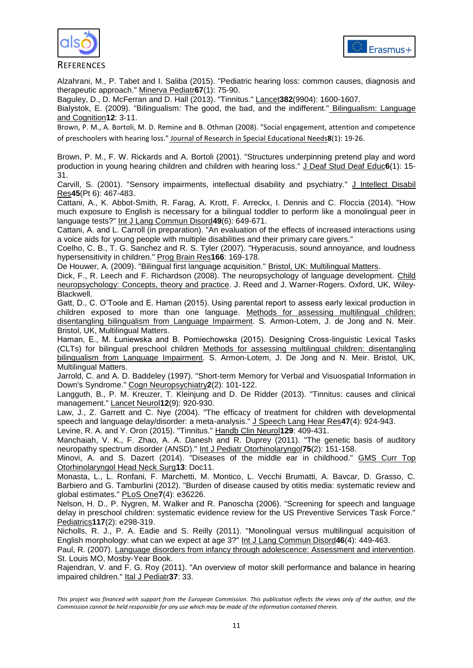



**REFERENCES** 

<span id="page-10-0"></span>Alzahrani, M., P. Tabet and I. Saliba (2015). "Pediatric hearing loss: common causes, diagnosis and therapeutic approach." Minerva Pediatr**67**(1): 75-90.

<span id="page-10-10"></span>Baguley, D., D. McFerran and D. Hall (2013). "Tinnitus." Lancet**382**(9904): 1600-1607.

<span id="page-10-18"></span>Bialystok, E. (2009). "Bilingualism: The good, the bad, and the indifferent." Bilingualism: Language and Cognition**12**: 3-11.

<span id="page-10-2"></span>Brown, P. M., A. Bortoli, M. D. Remine and B. Othman (2008). "Social engagement, attention and competence of preschoolers with hearing loss." Journal of Research in Special Educational Needs**8**(1): 19-26.

<span id="page-10-1"></span>Brown, P. M., F. W. Rickards and A. Bortoli (2001). "Structures underpinning pretend play and word production in young hearing children and children with hearing loss." J Deaf Stud Deaf Educ6(1): 15-31.

<span id="page-10-4"></span>Carvill, S. (2001). "Sensory impairments, intellectual disability and psychiatry." J Intellect Disabil Res**45**(Pt 6): 467-483.

<span id="page-10-21"></span>Cattani, A., K. Abbot-Smith, R. Farag, A. Krott, F. Arreckx, I. Dennis and C. Floccia (2014). "How much exposure to English is necessary for a bilingual toddler to perform like a monolingual peer in language tests?" Int J Lang Commun Disord**49**(6): 649-671.

<span id="page-10-17"></span>Cattani, A. and L. Carroll (in preparation). "An evaluation of the effects of increased interactions using a voice aids for young people with multiple disabilities and their primary care givers."

<span id="page-10-8"></span>Coelho, C. B., T. G. Sanchez and R. S. Tyler (2007). "Hyperacusis, sound annoyance, and loudness hypersensitivity in children." Prog Brain Res**166**: 169-178.

<span id="page-10-19"></span>De Houwer, A. (2009). "Bilingual first language acquisition." Bristol, UK: Multilingual Matters.

<span id="page-10-12"></span>Dick, F., R. Leech and F. Richardson (2008). The neuropsychology of language development. Child neuropsychology: Concepts, theory and practice. J. Reed and J. Warner-Rogers. Oxford, UK, Wiley-Blackwell.

<span id="page-10-22"></span>Gatt, D., C. O'Toole and E. Haman (2015). Using parental report to assess early lexical production in children exposed to more than one language. Methods for assessing multilingual children: disentangling bilingualism from Language Impairment. S. Armon-Lotem, J. de Jong and N. Meir. Bristol, UK, Multilingual Matters.

<span id="page-10-23"></span>Haman, E., M. Łuniewska and B. Pomiechowska (2015). Designing Cross-linguistic Lexical Tasks (CLTs) for bilingual preschool children Methods for assessing multilingual children: disentangling bilingualism from Language Impairment. S. Armon-Lotem, J. De Jong and N. Meir. Bristol, UK, Multilingual Matters.

<span id="page-10-13"></span>Jarrold, C. and A. D. Baddeley (1997). "Short-term Memory for Verbal and Visuospatial Information in Down's Syndrome." Cogn Neuropsychiatry**2**(2): 101-122.

<span id="page-10-11"></span>Langguth, B., P. M. Kreuzer, T. Kleinjung and D. De Ridder (2013). "Tinnitus: causes and clinical management." Lancet Neurol**12**(9): 920-930.

<span id="page-10-15"></span>Law, J., Z. Garrett and C. Nye (2004). "The efficacy of treatment for children with developmental speech and language delay/disorder: a meta-analysis." J Speech Lang Hear Res**47**(4): 924-943.

<span id="page-10-9"></span>Levine, R. A. and Y. Oron (2015). "Tinnitus." Handb Clin Neurol**129**: 409-431.

<span id="page-10-7"></span>Manchaiah, V. K., F. Zhao, A. A. Danesh and R. Duprey (2011). "The genetic basis of auditory neuropathy spectrum disorder (ANSD)." Int J Pediatr Otorhinolaryngol**75**(2): 151-158.

<span id="page-10-6"></span>Minovi, A. and S. Dazert (2014). "Diseases of the middle ear in childhood." GMS Curr Top Otorhinolaryngol Head Neck Surg**13**: Doc11.

<span id="page-10-5"></span>Monasta, L., L. Ronfani, F. Marchetti, M. Montico, L. Vecchi Brumatti, A. Bavcar, D. Grasso, C. Barbiero and G. Tamburlini (2012). "Burden of disease caused by otitis media: systematic review and global estimates." PLoS One**7**(4): e36226.

<span id="page-10-16"></span>Nelson, H. D., P. Nygren, M. Walker and R. Panoscha (2006). "Screening for speech and language delay in preschool children: systematic evidence review for the US Preventive Services Task Force." Pediatrics**117**(2): e298-319.

<span id="page-10-20"></span>Nicholls, R. J., P. A. Eadie and S. Reilly (2011). "Monolingual versus multilingual acquisition of English morphology: what can we expect at age 3?" Int J Lang Commun Disord**46**(4): 449-463.

<span id="page-10-14"></span>Paul, R. (2007). Language disorders from infancy through adolescence: Assessment and intervention. St. Louis MO, Mosby-Year Book.

<span id="page-10-3"></span>Rajendran, V. and F. G. Roy (2011). "An overview of motor skill performance and balance in hearing impaired children." Ital J Pediatr**37**: 33.

*This project was financed with support from the European Commission. This publication reflects the views only of the author, and the Commission cannot be held responsible for any use which may be made of the information contained therein.*